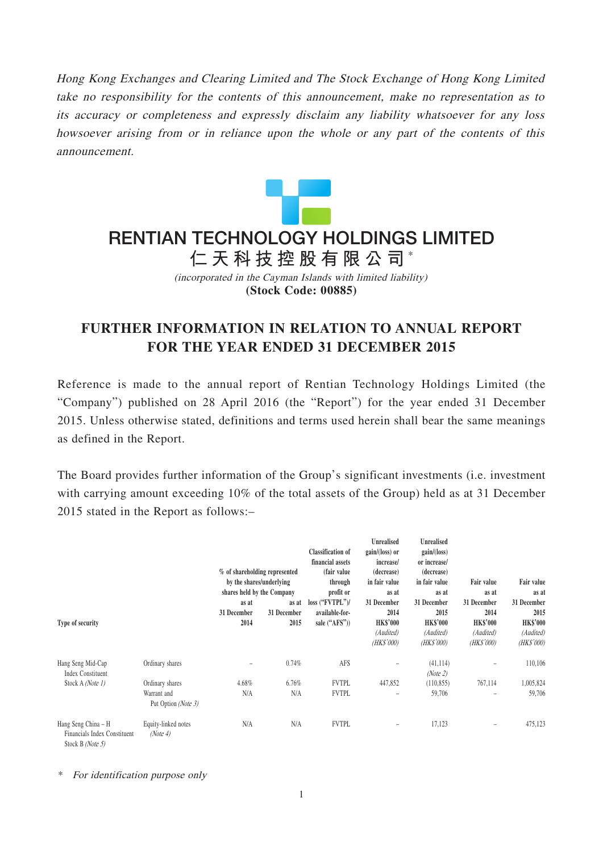Hong Kong Exchanges and Clearing Limited and The Stock Exchange of Hong Kong Limited take no responsibility for the contents of this announcement, make no representation as to its accuracy or completeness and expressly disclaim any liability whatsoever for any loss howsoever arising from or in reliance upon the whole or any part of the contents of this announcement.



## **仁天科技控股有限公司** \* **RENTIAN TECHNOLOGY HOLDINGS LIMITED**

(incorporated in the Cayman Islands with limited liability) **(Stock Code: 00885)**

## **FURTHER INFORMATION IN RELATION TO ANNUAL REPORT FOR THE YEAR ENDED 31 DECEMBER 2015**

Reference is made to the annual report of Rentian Technology Holdings Limited (the "Company") published on 28 April 2016 (the "Report") for the year ended 31 December 2015. Unless otherwise stated, definitions and terms used herein shall bear the same meanings as defined in the Report.

The Board provides further information of the Group's significant investments (i.e. investment with carrying amount exceeding 10% of the total assets of the Group) held as at 31 December 2015 stated in the Report as follows:–

|                                                                         |                                 |                               |             | <b>Classification</b> of | Unrealised<br>$gain/(loss)$ or | <b>Unrealised</b><br>gain/(loss) |                   |                 |
|-------------------------------------------------------------------------|---------------------------------|-------------------------------|-------------|--------------------------|--------------------------------|----------------------------------|-------------------|-----------------|
|                                                                         |                                 |                               |             | financial assets         | increase/                      | or increase/                     |                   |                 |
|                                                                         |                                 | % of shareholding represented |             | (fair value)             | (decrease)                     | (decrease)                       |                   |                 |
|                                                                         |                                 | by the shares/underlying      |             | through                  | in fair value                  | in fair value                    | <b>Fair value</b> | Fair value      |
|                                                                         |                                 | shares held by the Company    |             | profit or                | as at                          | as at                            | as at             | as at           |
|                                                                         |                                 | as at                         | as at       | loss ("FVTPL")/          | 31 December                    | 31 December                      | 31 December       | 31 December     |
|                                                                         |                                 | 31 December                   | 31 December | available-for-           | 2014                           | 2015                             | 2014              | 2015            |
| Type of security                                                        |                                 | 2014                          | 2015        | sale ("AFS"))            | <b>HK\$'000</b>                | <b>HK\$'000</b>                  | <b>HK\$'000</b>   | <b>HK\$'000</b> |
|                                                                         |                                 |                               |             |                          | (Audited)                      | (Audited)                        | (Audited)         | (Audited)       |
|                                                                         |                                 |                               |             |                          | (HK\$'000)                     | (HK\$'000)                       | (HK\$'000)        | (HK\$'000)      |
| Hang Seng Mid-Cap<br><b>Index Constituent</b><br>Stock A (Note 1)       | Ordinary shares                 |                               | 0.74%       | AFS                      |                                | (41, 114)                        |                   | 110,106         |
|                                                                         |                                 |                               |             |                          |                                | (Note 2)                         |                   |                 |
|                                                                         | Ordinary shares                 | 4.68%                         | 6.76%       | <b>FVTPL</b>             | 447,852                        | (110, 855)                       | 767,114           | 1,005,824       |
|                                                                         | Warrant and                     | N/A                           | N/A         | <b>FVTPL</b>             |                                | 59,706                           |                   | 59,706          |
|                                                                         | Put Option (Note 3)             |                               |             |                          |                                |                                  |                   |                 |
| Hang Seng China – H<br>Financials Index Constituent<br>Stock B (Note 5) | Equity-linked notes<br>(Note 4) | N/A                           | N/A         | <b>FVTPL</b>             | $\overline{a}$                 | 17,123                           | -                 | 475,123         |

\* For identification purpose only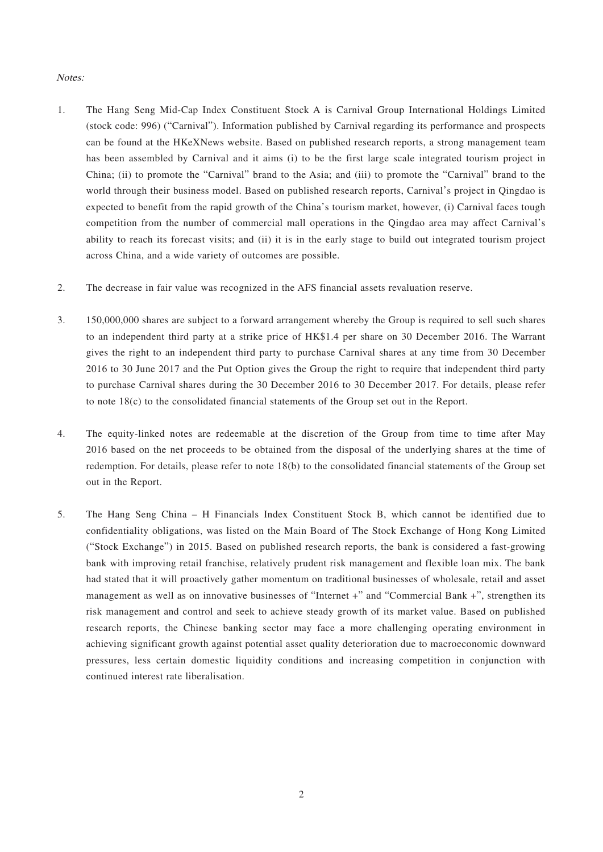## Notes:

- 1. The Hang Seng Mid-Cap Index Constituent Stock A is Carnival Group International Holdings Limited (stock code: 996) ("Carnival"). Information published by Carnival regarding its performance and prospects can be found at the HKeXNews website. Based on published research reports, a strong management team has been assembled by Carnival and it aims (i) to be the first large scale integrated tourism project in China; (ii) to promote the "Carnival" brand to the Asia; and (iii) to promote the "Carnival" brand to the world through their business model. Based on published research reports, Carnival's project in Qingdao is expected to benefit from the rapid growth of the China's tourism market, however, (i) Carnival faces tough competition from the number of commercial mall operations in the Qingdao area may affect Carnival's ability to reach its forecast visits; and (ii) it is in the early stage to build out integrated tourism project across China, and a wide variety of outcomes are possible.
- 2. The decrease in fair value was recognized in the AFS financial assets revaluation reserve.
- 3. 150,000,000 shares are subject to a forward arrangement whereby the Group is required to sell such shares to an independent third party at a strike price of HK\$1.4 per share on 30 December 2016. The Warrant gives the right to an independent third party to purchase Carnival shares at any time from 30 December 2016 to 30 June 2017 and the Put Option gives the Group the right to require that independent third party to purchase Carnival shares during the 30 December 2016 to 30 December 2017. For details, please refer to note 18(c) to the consolidated financial statements of the Group set out in the Report.
- 4. The equity-linked notes are redeemable at the discretion of the Group from time to time after May 2016 based on the net proceeds to be obtained from the disposal of the underlying shares at the time of redemption. For details, please refer to note 18(b) to the consolidated financial statements of the Group set out in the Report.
- 5. The Hang Seng China H Financials Index Constituent Stock B, which cannot be identified due to confidentiality obligations, was listed on the Main Board of The Stock Exchange of Hong Kong Limited ("Stock Exchange") in 2015. Based on published research reports, the bank is considered a fast-growing bank with improving retail franchise, relatively prudent risk management and flexible loan mix. The bank had stated that it will proactively gather momentum on traditional businesses of wholesale, retail and asset management as well as on innovative businesses of "Internet +" and "Commercial Bank +", strengthen its risk management and control and seek to achieve steady growth of its market value. Based on published research reports, the Chinese banking sector may face a more challenging operating environment in achieving significant growth against potential asset quality deterioration due to macroeconomic downward pressures, less certain domestic liquidity conditions and increasing competition in conjunction with continued interest rate liberalisation.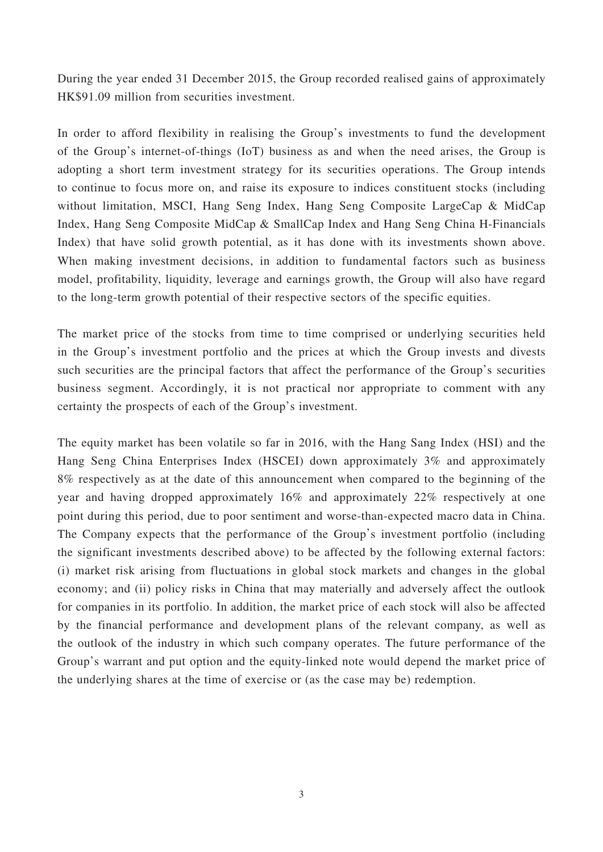During the year ended 31 December 2015, the Group recorded realised gains of approximately HK\$91.09 million from securities investment.

In order to afford flexibility in realising the Group's investments to fund the development of the Group's internet-of-things (IoT) business as and when the need arises, the Group is adopting a short term investment strategy for its securities operations. The Group intends to continue to focus more on, and raise its exposure to indices constituent stocks (including without limitation, MSCI, Hang Seng Index, Hang Seng Composite LargeCap & MidCap Index, Hang Seng Composite MidCap & SmallCap Index and Hang Seng China H-Financials Index) that have solid growth potential, as it has done with its investments shown above. When making investment decisions, in addition to fundamental factors such as business model, profitability, liquidity, leverage and earnings growth, the Group will also have regard to the long-term growth potential of their respective sectors of the specific equities.

The market price of the stocks from time to time comprised or underlying securities held in the Group's investment portfolio and the prices at which the Group invests and divests such securities are the principal factors that affect the performance of the Group's securities business segment. Accordingly, it is not practical nor appropriate to comment with any certainty the prospects of each of the Group's investment.

The equity market has been volatile so far in 2016, with the Hang Sang Index (HSI) and the Hang Seng China Enterprises Index (HSCEI) down approximately 3% and approximately 8% respectively as at the date of this announcement when compared to the beginning of the year and having dropped approximately 16% and approximately 22% respectively at one point during this period, due to poor sentiment and worse-than-expected macro data in China. The Company expects that the performance of the Group's investment portfolio (including the significant investments described above) to be affected by the following external factors: (i) market risk arising from fluctuations in global stock markets and changes in the global economy; and (ii) policy risks in China that may materially and adversely affect the outlook for companies in its portfolio. In addition, the market price of each stock will also be affected by the financial performance and development plans of the relevant company, as well as the outlook of the industry in which such company operates. The future performance of the Group's warrant and put option and the equity-linked note would depend the market price of the underlying shares at the time of exercise or (as the case may be) redemption.